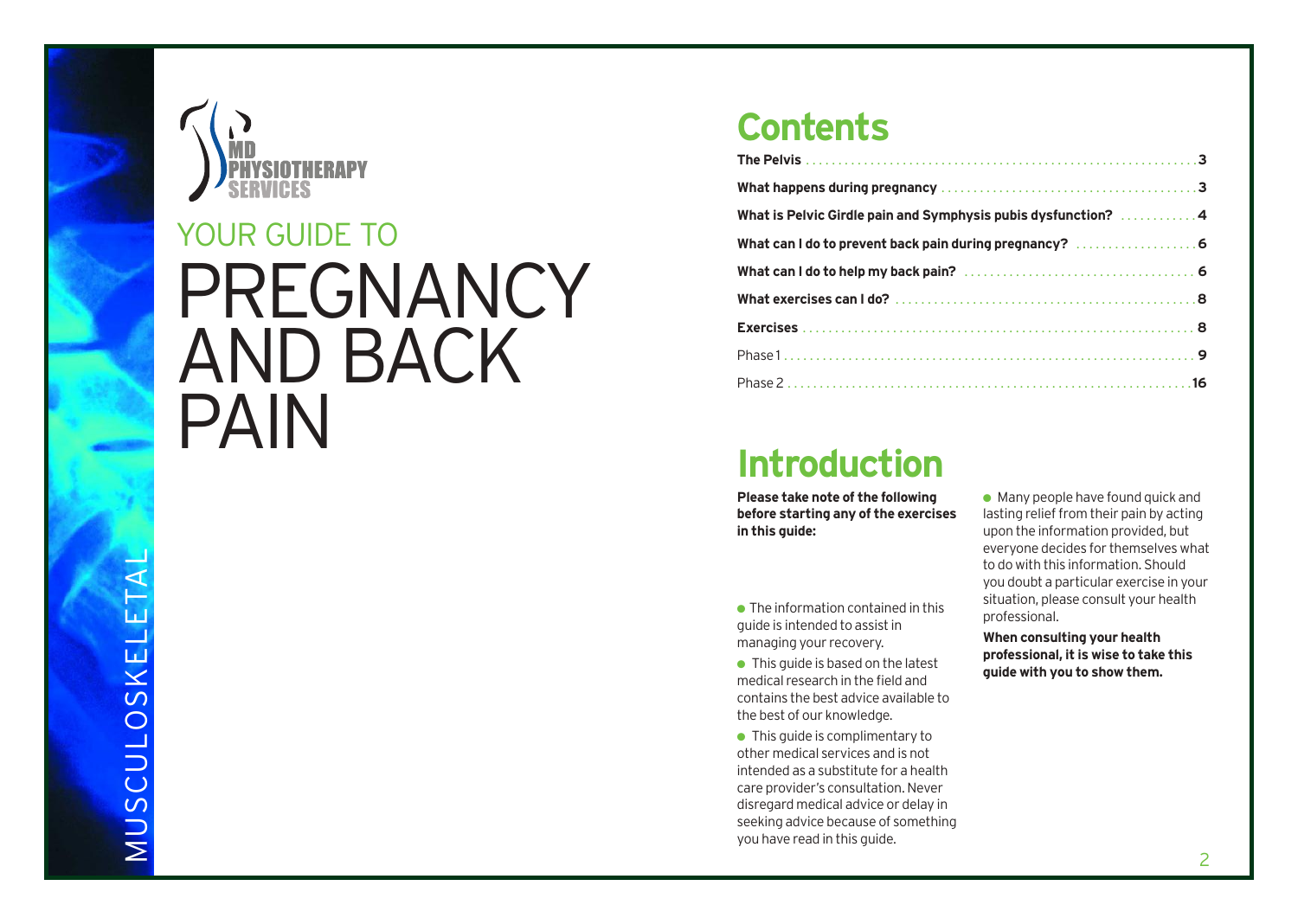

# PREGNANCY AND BACK PAIN YOUR GUIDE TO

### **Contents**

| What is Pelvic Girdle pain and Symphysis pubis dysfunction? 4 |
|---------------------------------------------------------------|
| What can I do to prevent back pain during pregnancy?  6       |
|                                                               |
|                                                               |
|                                                               |
|                                                               |
|                                                               |

### **Introduction**

**Please take note of the following before starting any of the exercises in this guide:**

 $\bullet$  The information contained in this guide is intended to assist in managing your recovery.

 $\bullet$  This quide is based on the latest medical research in the field and contains the best advice available to the best of our knowledge.

● This quide is complimentary to other medical services and is not intended as a substitute for a health care provider's consultation. Never disregard medical advice or delay in seeking advice because of something you have read in this guide.

 $\bullet$  Many people have found quick and lasting relief from their pain by acting upon the information provided, but everyone decides for themselves what to do with this information. Should you doubt a particular exercise in your situation, please consult your health professional.

**When consulting your health professional, it is wise to take this guide with you to show them.**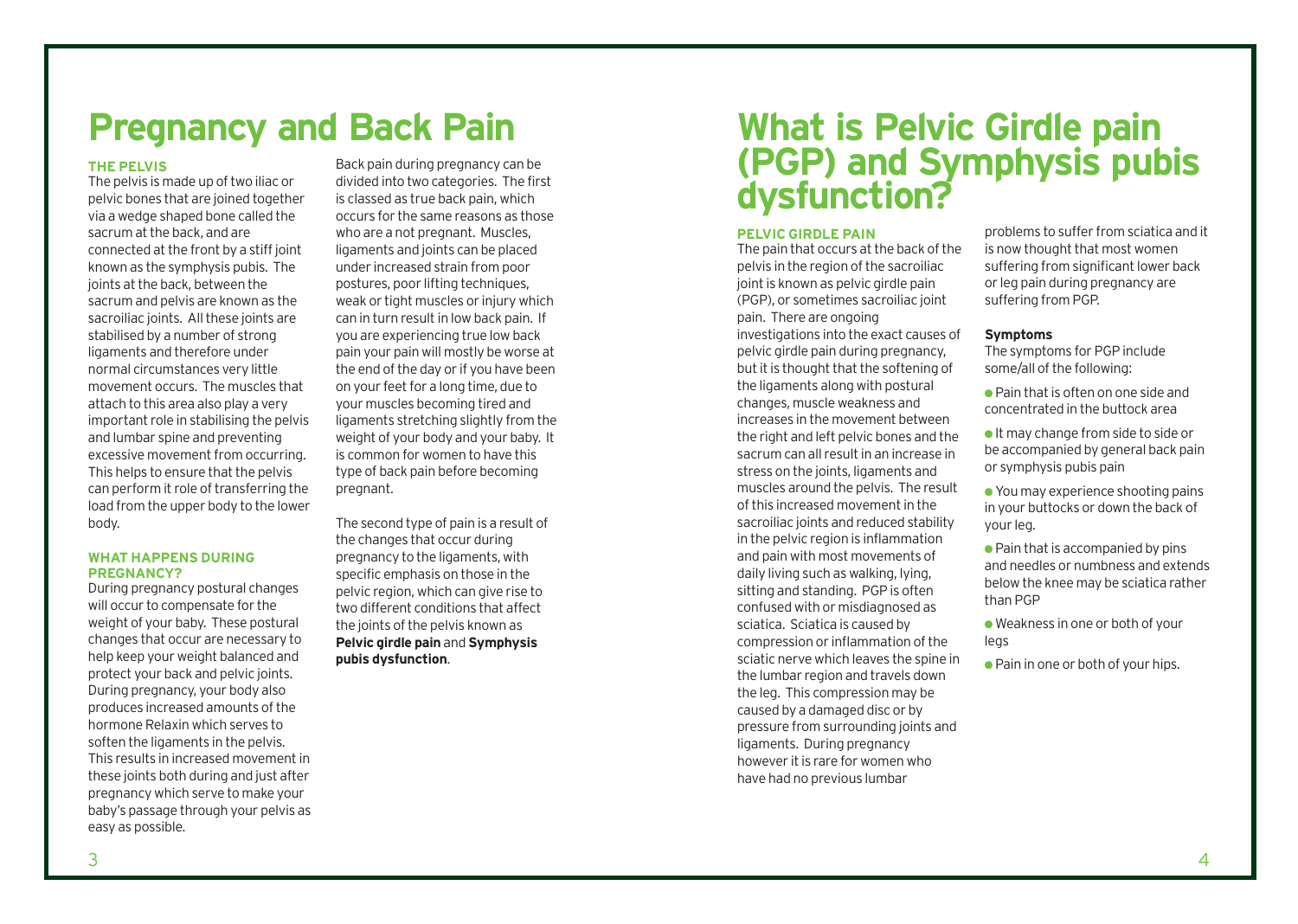## **Pregnancy and Back Pain**

#### **THE PELVIS**

The pelvis is made up of two iliac or pelvic bones that are joined together via a wedge shaped bone called the sacrum at the back, and are connected at the front by a stiff joint known as the symphysis pubis. The joints at the back, between the sacrum and pelvis are known as the sacroiliac joints. All these joints are stabilised by a number of strong ligaments and therefore under normal circumstances very little movement occurs. The muscles that attach to this area also play a very important role in stabilising the pelvis and lumbar spine and preventing excessive movement from occurring. This helps to ensure that the pelvis can perform it role of transferring the load from the upper body to the lower body.

#### **WHAT HAPPENS DURING PREGNANCY?**

During pregnancy postural changes will occur to compensate for the weight of your baby. These postural changes that occur are necessary to help keep your weight balanced and protect your back and pelvic joints. During pregnancy, your body also produces increased amounts of the hormone Relaxin which serves to soften the ligaments in the pelvis. This results in increased movement in these joints both during and just after pregnancy which serve to make your baby's passage through your pelvis as easy as possible.

Back pain during pregnancy can be divided into two categories. The first is classed as true back pain, which occurs for the same reasons as those who are a not pregnant. Muscles, ligaments and joints can be placed under increased strain from poor postures, poor lifting techniques, weak or tight muscles or injury which can in turn result in low back pain. If you are experiencing true low back pain your pain will mostly be worse at the end of the day or if you have been on your feet for a long time, due to your muscles becoming tired and ligaments stretching slightly from the weight of your body and your baby. It is common for women to have this type of back pain before becoming pregnant.

The second type of pain is a result of the changes that occur during pregnancy to the ligaments, with specific emphasis on those in the pelvic region, which can give rise to two different conditions that affect the joints of the pelvis known as **Pelvic girdle pain** and **Symphysis pubis dysfunction**.

### **What is Pelvic Girdle pain (PGP) and Symphysis pubis dysfunction?**

#### **PELVIC GIRDLE PAIN**

The pain that occurs at the back of the pelvis in the region of the sacroiliac joint is known as pelvic girdle pain (PGP), or sometimes sacroiliac joint pain. There are ongoing investigations into the exact causes of pelvic girdle pain during pregnancy, but it is thought that the softening of the ligaments along with postural changes, muscle weakness and increases in the movement between the right and left pelvic bones and the sacrum can all result in an increase in stress on the joints, ligaments and muscles around the pelvis. The result of this increased movement in the sacroiliac joints and reduced stability in the pelvic region is inflammation and pain with most movements of daily living such as walking, lying, sitting and standing. PGP is often confused with or misdiagnosed as sciatica. Sciatica is caused by compression or inflammation of the sciatic nerve which leaves the spine in the lumbar region and travels down the leg. This compression may be caused by a damaged disc or by pressure from surrounding joints and ligaments. During pregnancy however it is rare for women who have had no previous lumbar

problems to suffer from sciatica and it is now thought that most women suffering from significant lower back or leg pain during pregnancy are suffering from PGP.

#### **Symptoms**

The symptoms for PGP include some/all of the following:

- Pain that is often on one side and concentrated in the buttock area
- It may change from side to side or be accompanied by general back pain or symphysis pubis pain
- You may experience shooting pains in your buttocks or down the back of your leg.
- $\bullet$  Pain that is accompanied by pins and needles or numbness and extends below the knee may be sciatica rather than PGP
- Weakness in one or both of your legs
- Pain in one or both of your hips.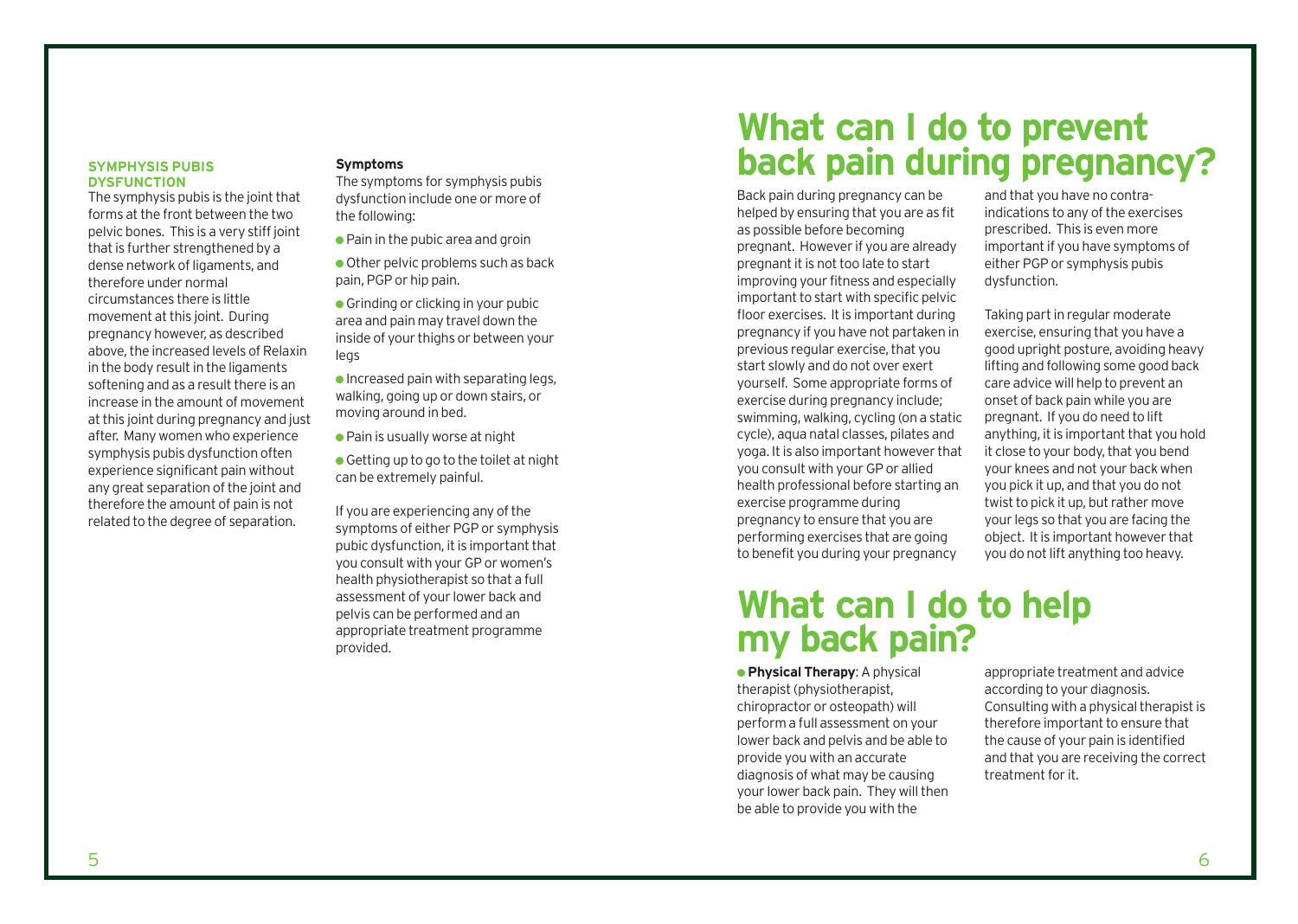#### **SYMPHYSIS PUBIS DYSFUNCTION**

The symphysis pubis is the joint that forms at the front between the two pelvic bones. This is a very stiff joint that is further strengthened by a dense network of ligaments, and therefore under normal circumstances there is little movement at this joint. During pregnancy however, as described above, the increased levels of Relaxin in the body result in the ligaments softening and as a result there is an increase in the amount of movement at this joint during pregnancy and just after. Many women who experience symphysis pubis dysfunction often experience significant pain without any great separation of the joint and therefore the amount of pain is not related to the degree of separation.

### **Symptoms**

The symptoms for symphysis pubis dysfunction include one or more of the following:

- $\bullet$  Pain in the pubic area and groin
- $\bullet$  Other pelvic problems such as back pain, PGP or hip pain.

 $\bullet$  Grinding or clicking in your pubic area and pain may travel down the inside of your thighs or between your legs

 $\bullet$  Increased pain with separating legs. walking, going up or down stairs, or moving around in bed.

● Pain is usually worse at night

 $\bullet$  Getting up to go to the toilet at night can be extremely painful.

If you are experiencing any of the symptoms of either PGP or symphysis pubic dysfunction, it is important that you consult with your GP or women's health physiotherapist so that a full assessment of your lower back and pelvis can be performed and an appropriate treatment programme provided.

### **What can I do to prevent back pain during pregnancy?**

Back pain during pregnancy can be helped by ensuring that you are as fit as possible before becoming pregnant. However if you are already pregnant it is not too late to start improving your fitness and especially important to start with specific pelvic floor exercises. It is important during pregnancy if you have not partaken in previous regular exercise, that you start slowly and do not over exert yourself. Some appropriate forms of exercise during pregnancy include; swimming, walking, cycling (on a static cycle), aqua natal classes, pilates and yoga. It is also important however that you consult with your GP or allied health professional before starting an exercise programme during pregnancy to ensure that you are performing exercises that are going to benefit you during your pregnancy

### **What can I do to help my back pain?**

● **Physical Therapy**: A physical therapist (physiotherapist, chiropractor or osteopath) will perform a full assessment on your lower back and pelvis and be able to provide you with an accurate diagnosis of what may be causing your lower back pain. They will then be able to provide you with the

and that you have no contraindications to any of the exercises prescribed. This is even more important if you have symptoms of either PGP or symphysis pubis dysfunction.

Taking part in regular moderate exercise, ensuring that you have a good upright posture, avoiding heavy lifting and following some good back care advice will help to prevent an onset of back pain while you are pregnant. If you do need to lift anything, it is important that you hold it close to your body, that you bend your knees and not your back when you pick it up, and that you do not twist to pick it up, but rather move your legs so that you are facing the object. It is important however that you do not lift anything too heavy.

appropriate treatment and advice according to your diagnosis. Consulting with a physical therapist is therefore important to ensure that the cause of your pain is identified and that you are receiving the correct treatment for it.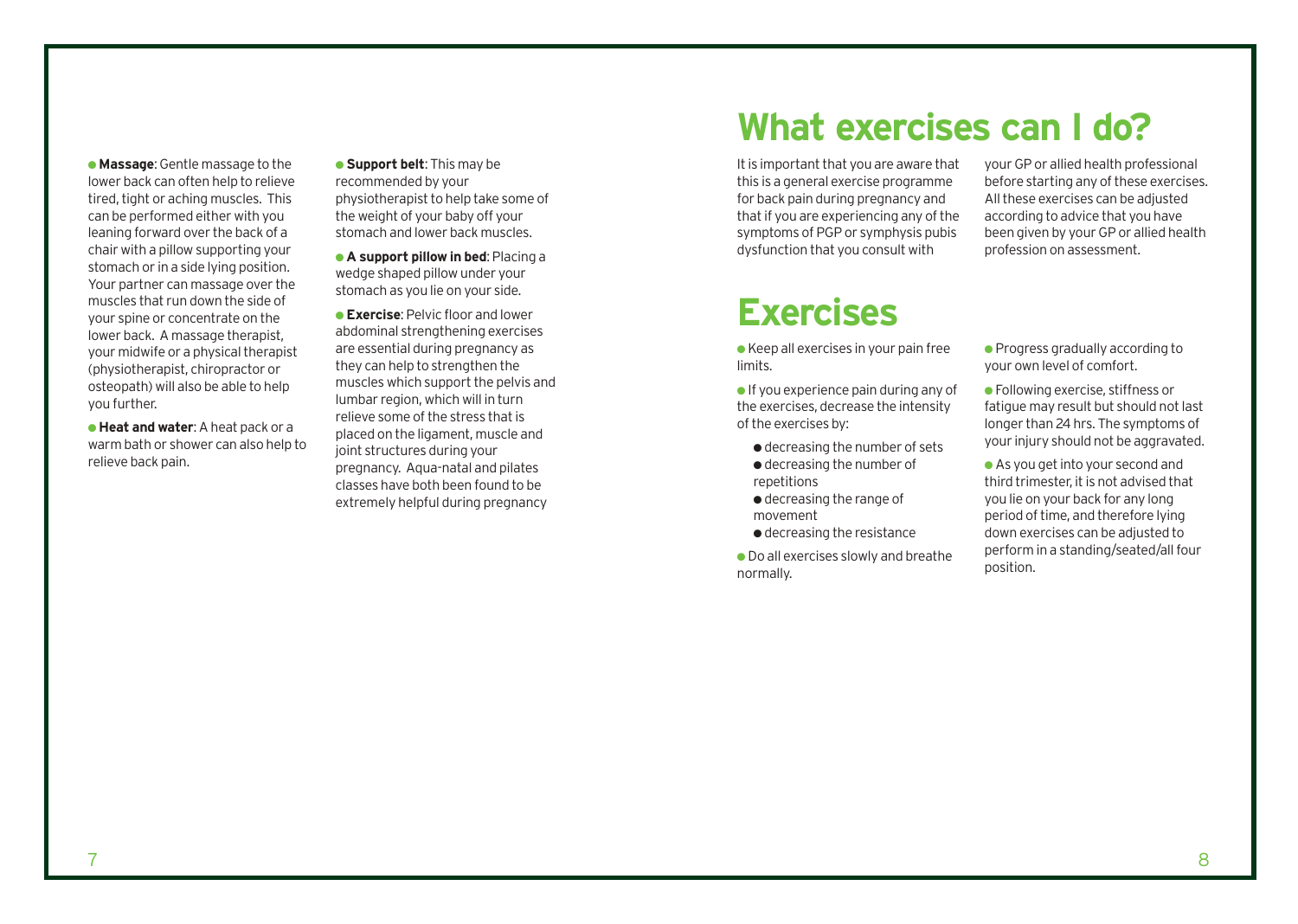● **Massage**: Gentle massage to the lower back can often help to relieve tired, tight or aching muscles. This can be performed either with you leaning forward over the back of a chair with a pillow supporting your stomach or in a side lying position. Your partner can massage over the muscles that run down the side of your spine or concentrate on the lower back. A massage therapist, your midwife or a physical therapist (physiotherapist, chiropractor or osteopath) will also be able to help you further.

● **Heat and water**: A heat pack or a warm bath or shower can also help to relieve back pain.

● **Support belt**: This may be recommended by your physiotherapist to help take some of the weight of your baby off your stomach and lower back muscles.

● **A support pillow in bed**: Placing a wedge shaped pillow under your stomach as you lie on your side.

● **Exercise**: Pelvic floor and lower abdominal strengthening exercises are essential during pregnancy as they can help to strengthen the muscles which support the pelvis and lumbar region, which will in turn relieve some of the stress that is placed on the ligament, muscle and joint structures during your pregnancy. Aqua-natal and pilates classes have both been found to be extremely helpful during pregnancy

## **What exercises can I do?**

It is important that you are aware that this is a general exercise programme for back pain during pregnancy and that if you are experiencing any of the symptoms of PGP or symphysis pubis dysfunction that you consult with

### **Exercises**

● Keep all exercises in your pain free limits.

 $\bullet$  If you experience pain during any of the exercises, decrease the intensity of the exercises by:

- decreasing the number of sets ● decreasing the number of repetitions
- decreasing the range of movement
- decreasing the resistance
- Do all exercises slowly and breathe normally.

your GP or allied health professional before starting any of these exercises. All these exercises can be adjusted according to advice that you have been given by your GP or allied health profession on assessment.

- Progress gradually according to your own level of comfort.
- Following exercise, stiffness or fatigue may result but should not last longer than 24 hrs. The symptoms of your injury should not be aggravated.

● As you get into your second and third trimester, it is not advised that you lie on your back for any long period of time, and therefore lying down exercises can be adjusted to perform in a standing/seated/all four position.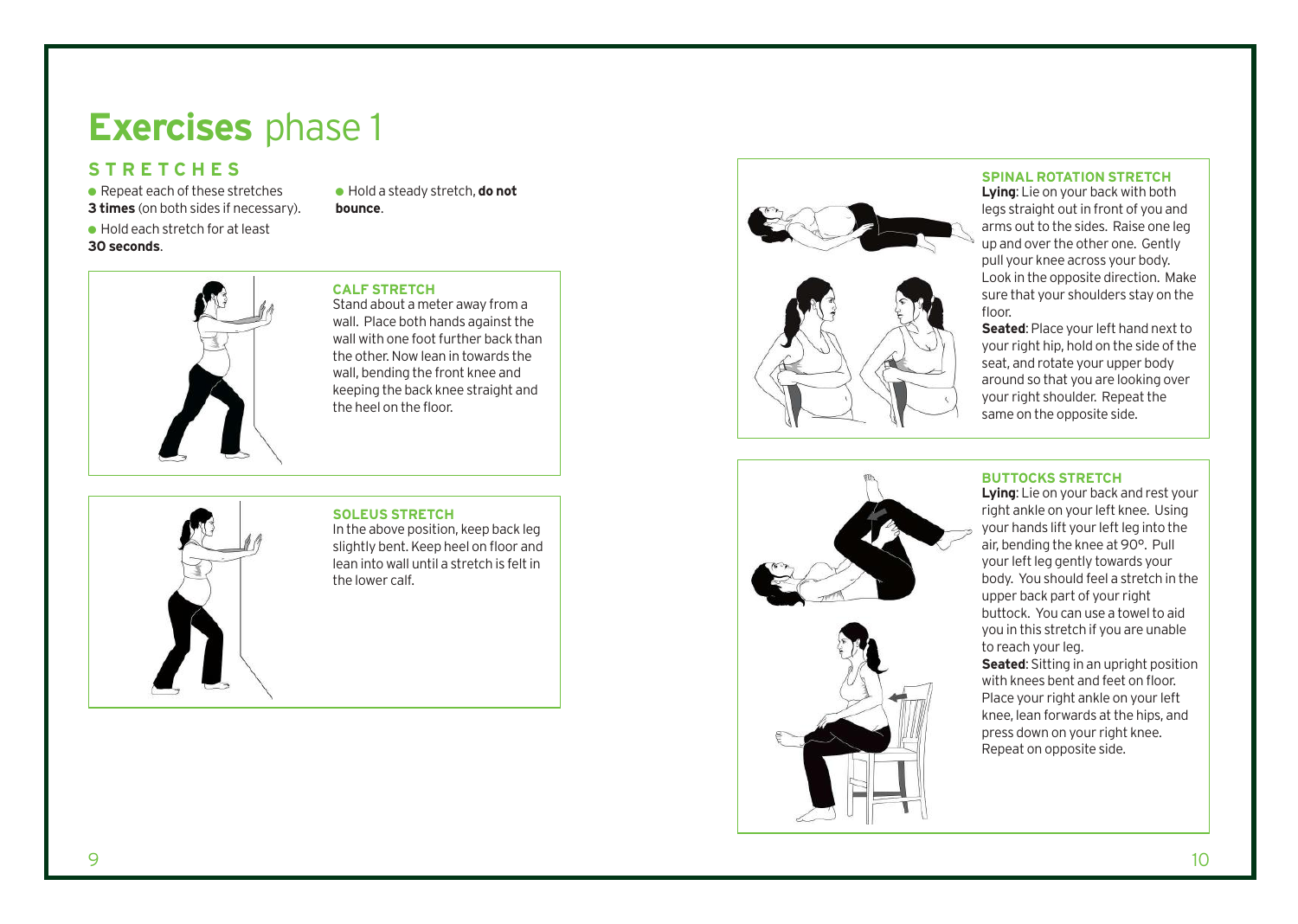## **Exercises** phase 1

### **STRETCHES**

- $\bullet$  Repeat each of these stretches
- **3 times** (on both sides if necessary).
- Hold each stretch for at least **30 seconds** .

● Hold a steady stretch, **do not bounce** .

#### **CALF STRETCH**

Stand about a meter away from a wall. Place both hands against the wall with one foot further back than the other. Now lean in towards the wall, bending the front knee and keeping the back knee straight and the heel on the floor.

**SOLEUS STRETCH**  In the above position, keep back leg slightly bent. Keep heel on floor and lean into wall until a stretch is felt in the lo wer calf.



#### **SPINAL ROTATION STRETCH**

**Lying**: Lie on your back with both legs straight out in front of you and arms out to the sides. Raise one leg up and over the other one. Gently pull your knee across your body. Look in the opposite direction. Make sure that your shoulders stay on the floor.

**Seated**: Place your left hand next to your right hip, hold on the side of the seat, and rotate your upper body around so that you are looking over your right shoulder. Repeat the same on the opposite side.



**BUTTOCKS STRETCH Lying**: Lie on your back and rest your right ankle on your left knee. Using your hands lift your left leg into the air, bending the knee at 90°. Pull your left leg gently towards your body. You should feel a stretch in the upper back part of your right buttock. You can use a towel to aid you in this stretch if you are unable to reach your leg.

**Seated**: Sitting in an upright position with knees bent and feet on floor. Place your right ankle on your left knee, lean forwards at the hip s, and press down on your right knee. Repeat on opposite side.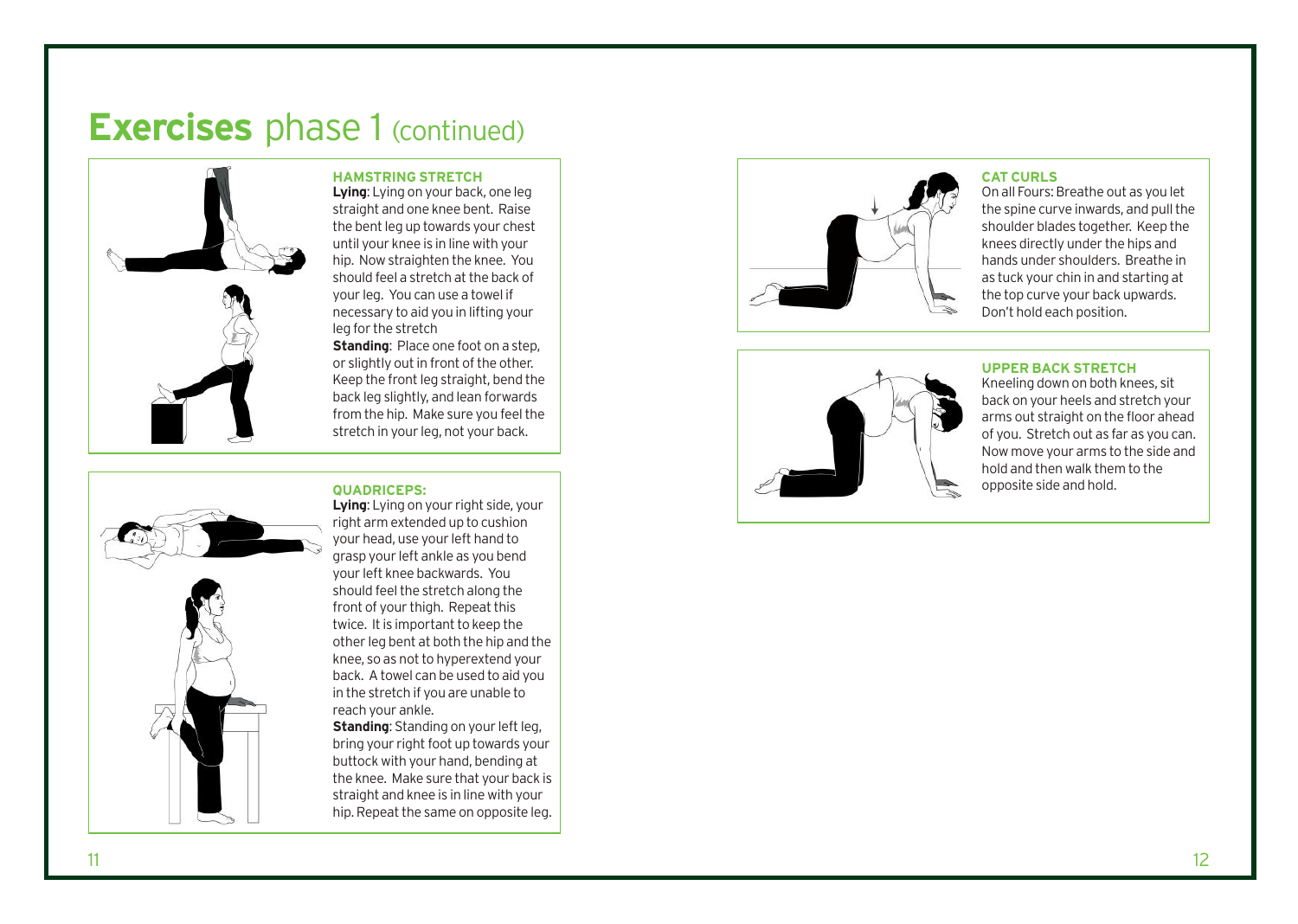## **Exercises** phase 1 (continued)



#### **HAMSTRING STRETCH**

**Lying**: Lying on your back, one leg straight and one knee bent. Raise the bent leg up towards your chest until your knee is in line with your hip. Now straighten the knee. You should feel a stretch at the back of your leg. You can use a towel if necessary to aid you in lifting your leg for the stretch

**Standing: Place one foot on a step,** or slightly out in front of the other. Keep the front leg straight, bend the back leg slightly, and lean forwards from the hip. Make sure you feel the stretch in your leg, not your back.

#### **QUADRICEPS:**



**Lying**: Lying on your right side, your right arm extended up to cushion your head, use your left hand to grasp your left ankle as you bend your left knee backwards. You should feel the stretch along the front of your thigh. Repeat this twice. It is important to keep the other leg bent at both the hip and the knee, so as not to hyperextend your back. A towel can be used to aid you in the str etch if you are unable to reach your ankle.

**Standing**: Standing on your left leg, bring your right foot up towards your but tock with your hand, bending at the knee. Make sure that your back is straight and knee is in line with your hip. Repeat the same on opposite leg.



#### **CAT CURLS**

On all Fours: Breathe out as you let the spine curve inwards, and pull the shoulder blades together. Keep the knees directly under the hips and hands under shoulders. Breathe in as tuck your chin in and starting at the top curve your back upwards. Don't hold each position.



#### **UPPER BACK STRETCH**

Kneeling down on both knees, sit back on your heels and stretch your arms out straight on the floor ahead of you. Stretch out as far as you can. Now move your arms to the side and hold and then walk them to the opposite side and hold.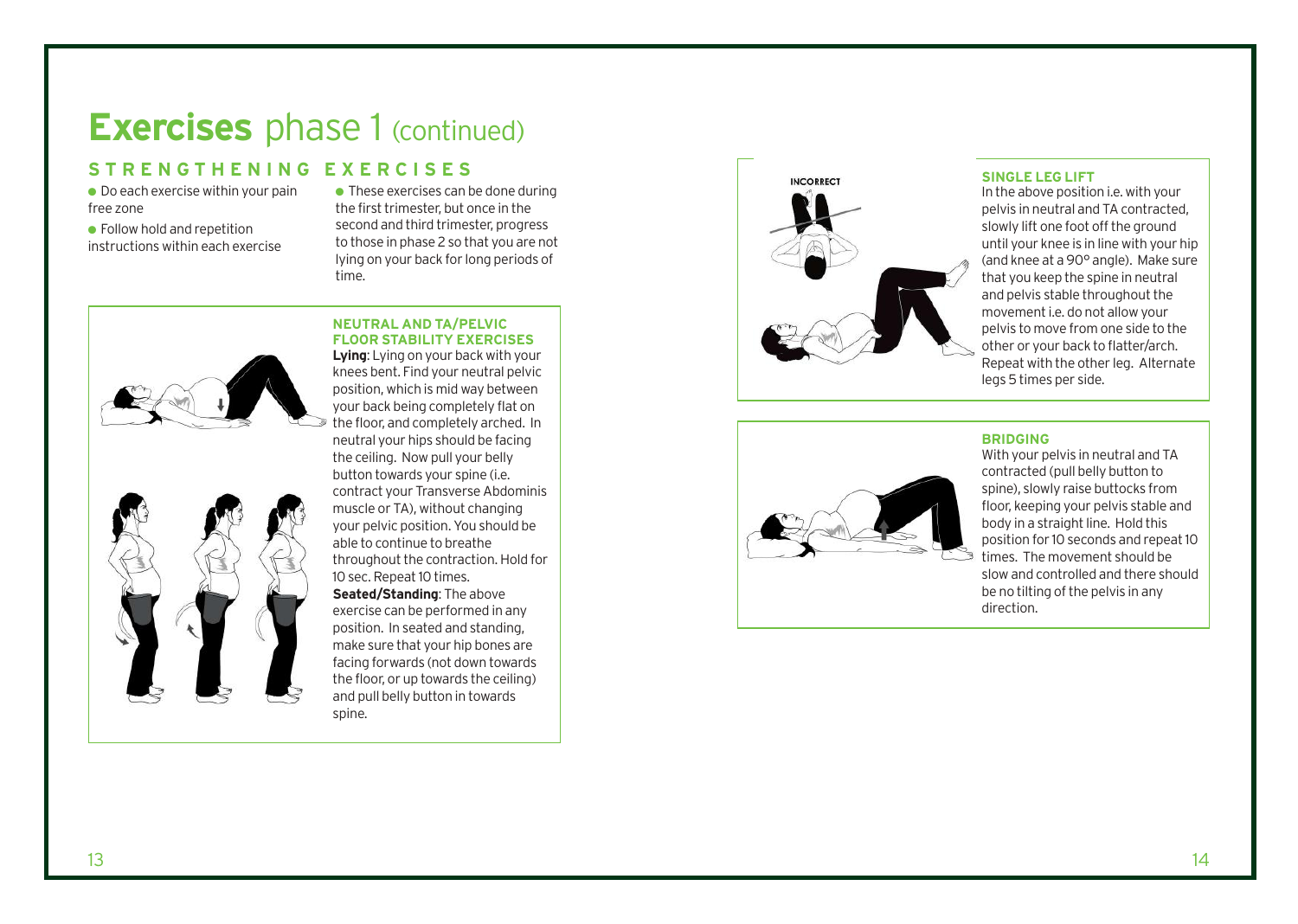### **Exercises** phase 1 (continued)

### **STRENGTHENING EXERCISES**

 $\bullet$  Do each exercise within your pain free zone

● Follow hold and repetition instructions within each exercise

 $\bullet$  These exercises can be done during the first trimester, but once in the second and third trimester, progress to those in phase 2 so that you are not lying on your back for long periods of time.





**NEUTRAL AND TA/PELVIC FLOOR STABILITY EXERCISES Lying**: Lying on your back with your knees bent. Find your neutral pelvic position, which is mid way between your back being completely flat on the floor, and completely arched. In neutral your hips should be facing the ceiling. Now pull your belly button towards your spine (i.e. contract your Transverse Abdominis muscle or TA), without changing your pelvic position. You should be able to continue to breathe throughout the contraction. Hold for 10 sec. Repeat 10 times.

Seated/Standing: The above exercise can be performed in any position. In seated and standing, make sure that your hip bones ar e facing forwards (not down towards the floor, or up towards the ceiling) and pull belly button in towards spine.



#### **SINGLE LEG LIFT**

In the above position i.e. with your pelvis in neutral and TA contracted, slowly lift one foot off the ground until your knee is in line with your hip (and knee at a 90° angle). Make sure that you keep the spine in neutral and pelvis stable throughout the movement i.e. do not allow your pelvis to move from one side to the other or your back to flatter/arch. Repeat with the other leg. Alternate legs 5 times per side.



### **BRIDGING**

With your pelvis in neutral and TA contracted (pull belly button to spine), slowly raise buttocks from floor, keeping your pelvis stable and body in a straight line. Hold this position for 10 seconds and repeat 10 times. The movement should be slow and controlled and there should be no tilting of the pelvis in any direction.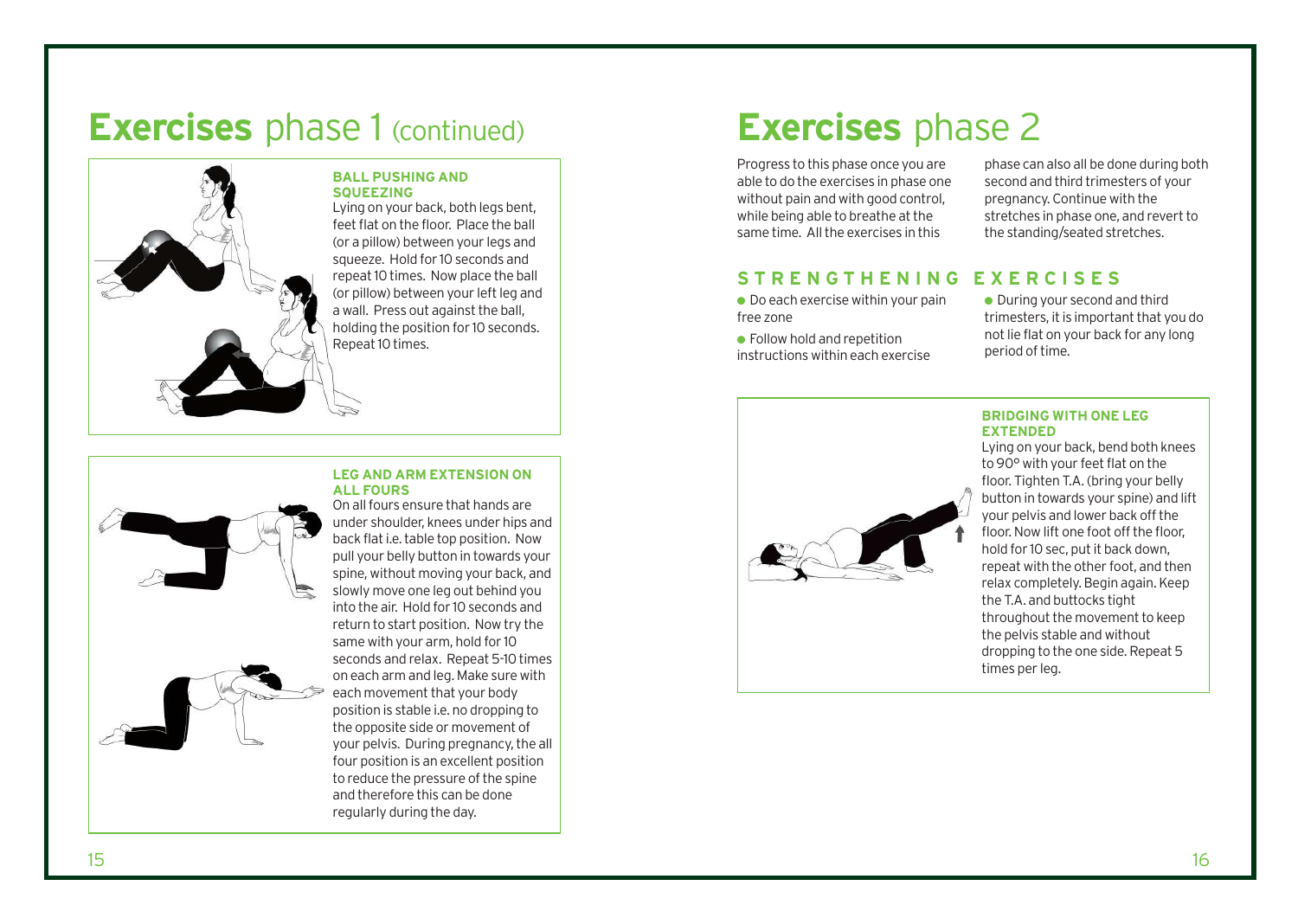### **Exercises** phase 1 (continued) **Exercises** phase 2



### **BALL PUSHING AND SQUEEZING**

Lying on your back, both legs bent, feet flat on the floor. Place the ball (or a pillow) between your legs and squeeze. Hold for 10 seconds and repeat 10 times. Now place the ball (or pillow) between your left leg and a wall. Press out against the ball, holding the position for 10 seconds. Repeat 10 times.

#### **LEG AND ARM EXTENSION ON ALL FOURS** On all fours ensure that hands are



under shoulder, knees under hips and back flat i.e. table top position. Now pull your belly button in towards your spine, without moving your back, and slowly move one leg out behind you into the air. Hold for 10 seconds and return to start position. Now try the same with your arm, hold for 10 seconds and relax. Repeat 5-10 times on each arm and leg. Make sure with each movement that your body position is stable i.e. no dropping to the opposite side or movement of your pelvis. During pregnancy, the all four position is an excellent position to reduce the pressure of the spine and therefore this can be done regularly during the day.

Progress to this phase once you are able to do the exercises in phase one without pain and with good control, while being able to breathe at the same time. All the exercises in this

phase can also all be done during both second and third trimesters of your pregnancy. Continue with the stretches in phase one, and revert to the standing/seated stretches.

### **STRENGTHENING EXERCISES**

- $\bullet$  Do each exercise within your pain free zone
- $\bullet$  Follow hold and repetition instructions within each exercise
- During your second and third trimesters, it is important that you do not lie flat on your back for any long period of time.



#### **BRIDGING WITH ONE LEG EXTENDED**

Lying on your back, bend both knees to 90° with your feet flat on the floor. Tighten T.A. (bring your belly button in towards your spine) and lift your pelvis and lower back off the floor. Now lift one foot off the floor, hold for 10 sec, put it back down, repeat with the other foot, and then relax completely. Begin again. Keep the T.A. and buttocks tight throughout the movement to keep the pelvis stable and without dropping to the one side. Repeat 5 times per leg.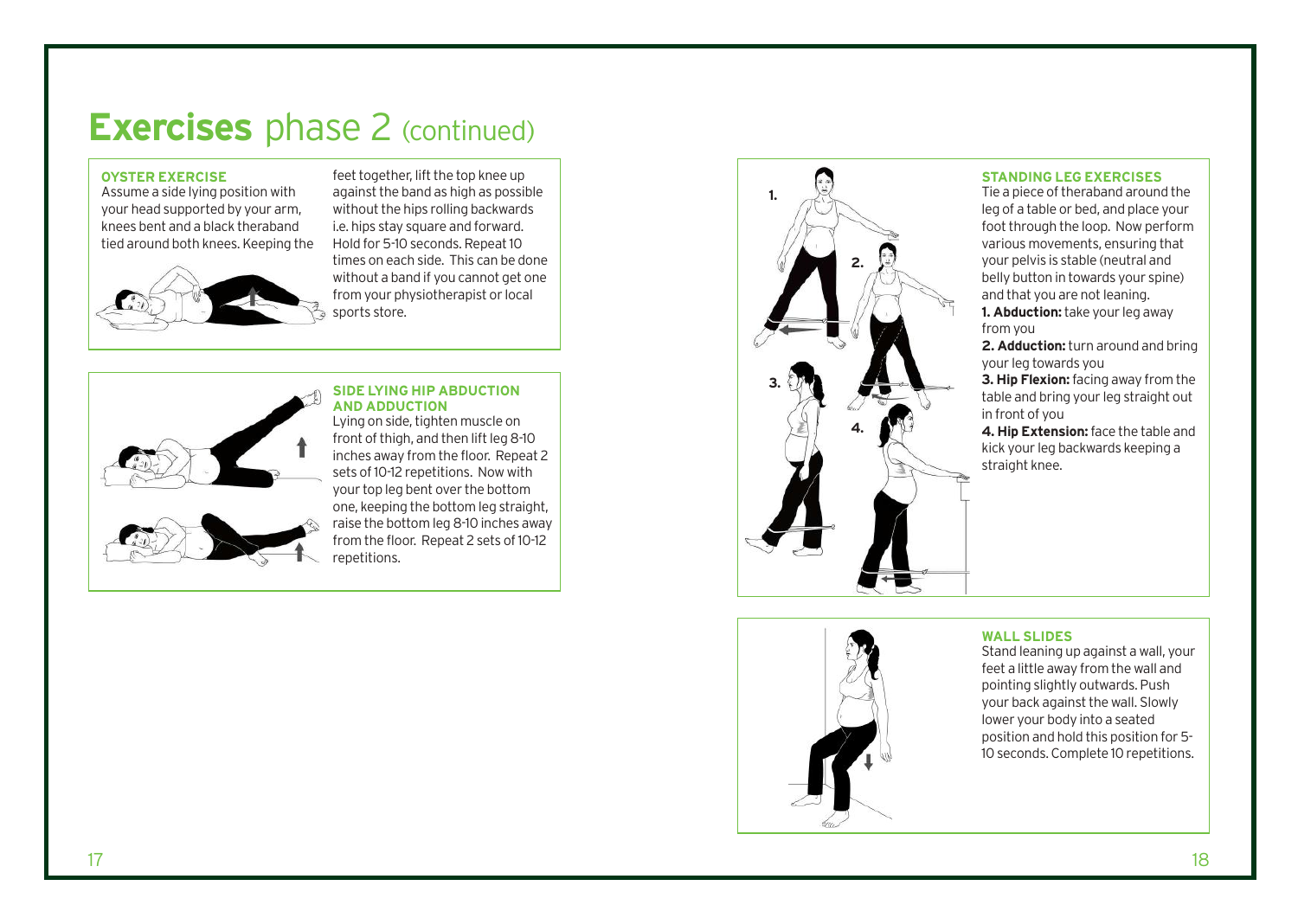## **Exercises** phase 2 (continued)

#### **OYSTER EXERCISE**

Assume a side lying position with your head supported by your arm, knees bent and a black theraband tied around both knees. Keeping the



feet together, lift the top knee up against the band as high as possible without the hips rolling backwards i.e. hips stay square and forward. Hold for 5-10 seconds. Repeat 10 times on each side. This can be done without a band if you cannot get one from your physiotherapist or local sports store.

### **SIDE LYING HIP ABDUCTION AND ADDUCTION**

Lying on side, tighten muscle on front of thigh, and then lift leg 8-10 inches away from the floor. Repeat 2 sets of 10-12 repetitions. Now with your top leg bent over the bottom one, keeping the bottom leg straight, raise the bottom leg 8-10 inches away from the floor. Repeat 2 sets of 10-12 repetitions.



#### **STANDING LEG EXERCISES**

Tie a piece of theraband around the leg of a table or bed, and place your foot through the loop. Now perform various movements, ensuring that your pelvis is stable (neutral and belly button in towards your spine) and that you are not leaning. **1. Abduction:**take your leg away from you

**2. Adduction:**turn around and bring your leg towards you

**3. Hip Flexion:**facing away from the table and bring your leg straight out in front of you

**4. Hip Extension:**face the table and kick your leg backwards keeping a straight knee.

#### **WALL SLIDES**

Stand leaning up against a wall, your feet a little away from the wall and pointing slightly outwards. Push your back against the wall. Slowly lower your body into a seated position and hold this position for 5- 10 seconds. Complete 10 repetitions.